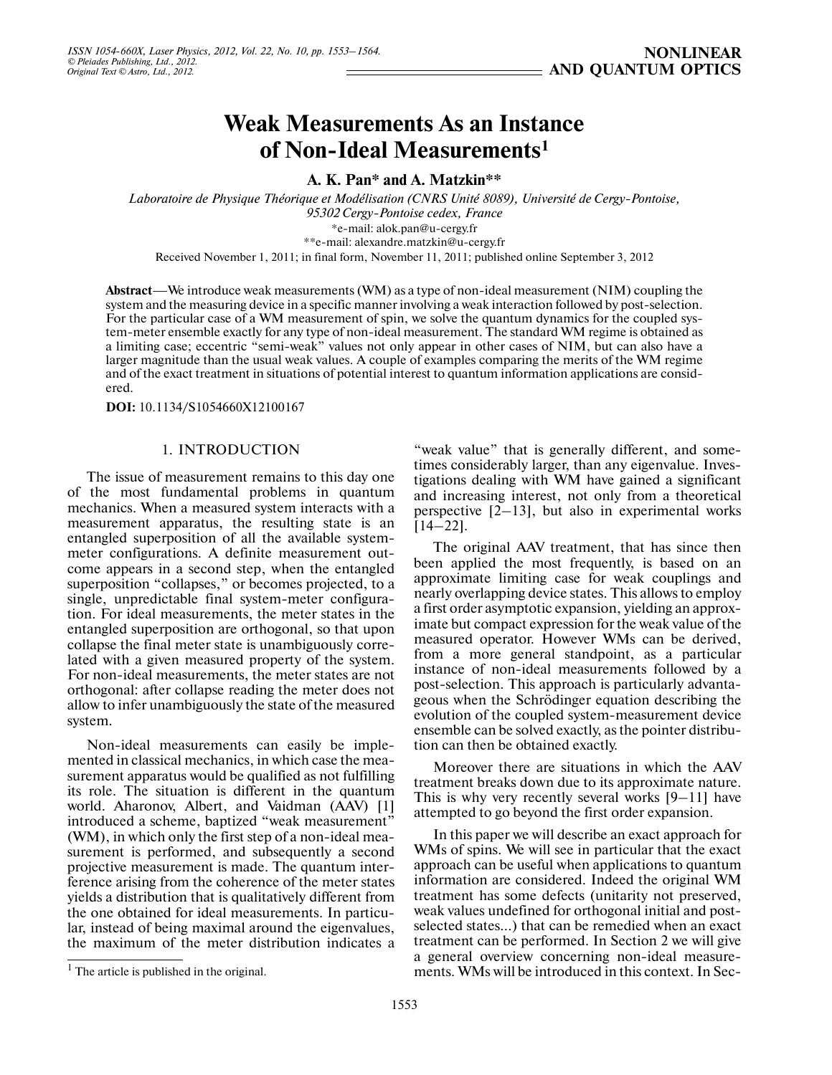# **Weak Measurements As an Instance of Non-Ideal Measurements1**

**A. K. Pan\* and A. Matzkin\*\***

*Laboratoire de Physique Théorique et Modélisation (CNRS Unité 8089), Université de Cergy-Pontoise, 95302 Cergy-Pontoise cedex, France* \*e-mail: alok.pan@u-cergy.fr \*\*e-mail: alexandre.matzkin@u-cergy.fr

Received November 1, 2011; in final form, November 11, 2011; published online September 3, 2012

**Abstract**—We introduce weak measurements (WM) as a type of non-ideal measurement (NIM) coupling the system and the measuring device in a specific manner involving a weak interaction followed by post-selection. For the particular case of a WM measurement of spin, we solve the quantum dynamics for the coupled sys tem-meter ensemble exactly for any type of non-ideal measurement. The standard WM regime is obtained as a limiting case; eccentric "semi-weak" values not only appear in other cases of NIM, but can also have a larger magnitude than the usual weak values. A couple of examples comparing the merits of the WM regime and of the exact treatment in situations of potential interest to quantum information applications are consid ered.

**DOI:** 10.1134/S1054660X12100167

# 1. INTRODUCTION

The issue of measurement remains to this day one of the most fundamental problems in quantum mechanics. When a measured system interacts with a measurement apparatus, the resulting state is an entangled superposition of all the available system meter configurations. A definite measurement out come appears in a second step, when the entangled superposition "collapses," or becomes projected, to a single, unpredictable final system-meter configura tion. For ideal measurements, the meter states in the entangled superposition are orthogonal, so that upon collapse the final meter state is unambiguously corre lated with a given measured property of the system. For non-ideal measurements, the meter states are not orthogonal: after collapse reading the meter does not allow to infer unambiguously the state of the measured system.

Non-ideal measurements can easily be imple mented in classical mechanics, in which case the mea surement apparatus would be qualified as not fulfilling its role. The situation is different in the quantum world. Aharonov, Albert, and Vaidman (AAV) [1] introduced a scheme, baptized "weak measurement" (WM), in which only the first step of a non-ideal mea surement is performed, and subsequently a second projective measurement is made. The quantum inter ference arising from the coherence of the meter states yields a distribution that is qualitatively different from the one obtained for ideal measurements. In particu lar, instead of being maximal around the eigenvalues, the maximum of the meter distribution indicates a

"weak value" that is generally different, and sometimes considerably larger, than any eigenvalue. Inves tigations dealing with WM have gained a significant and increasing interest, not only from a theoretical perspective [2–13], but also in experimental works  $[14-22]$ .

The original AAV treatment, that has since then been applied the most frequently, is based on an approximate limiting case for weak couplings and nearly overlapping device states. This allows to employ a first order asymptotic expansion, yielding an approx imate but compact expression for the weak value of the measured operator. However WMs can be derived, from a more general standpoint, as a particular instance of non-ideal measurements followed by a post-selection. This approach is particularly advanta geous when the Schrödinger equation describing the evolution of the coupled system-measurement device ensemble can be solved exactly, as the pointer distribu tion can then be obtained exactly.

Moreover there are situations in which the AAV treatment breaks down due to its approximate nature. This is why very recently several works [9–11] have attempted to go beyond the first order expansion.

In this paper we will describe an exact approach for WMs of spins. We will see in particular that the exact approach can be useful when applications to quantum information are considered. Indeed the original WM treatment has some defects (unitarity not preserved, weak values undefined for orthogonal initial and post selected states…) that can be remedied when an exact treatment can be performed. In Section 2 we will give a general overview concerning non-ideal measure ments. WMs will be introduced in this context. In Sec-

 $<sup>1</sup>$  The article is published in the original.</sup>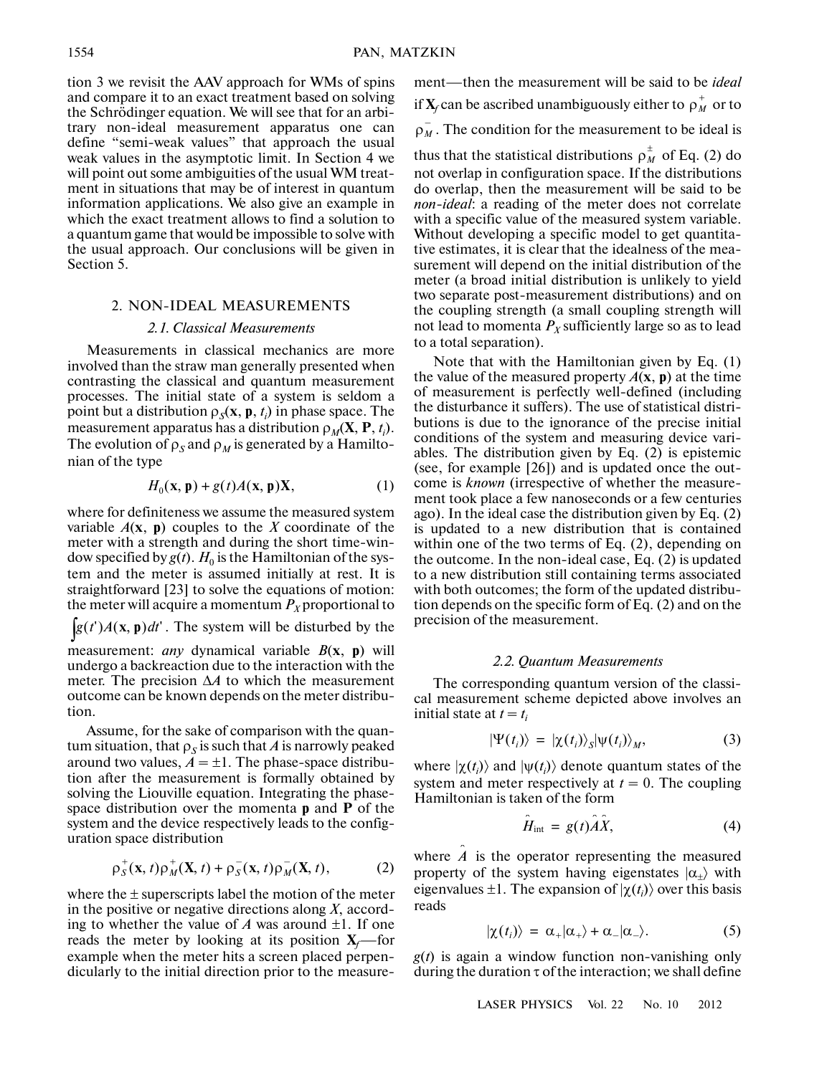tion 3 we revisit the AAV approach for WMs of spins and compare it to an exact treatment based on solving the Schrödinger equation. We will see that for an arbi trary non-ideal measurement apparatus one can define "semi-weak values" that approach the usual weak values in the asymptotic limit. In Section 4 we will point out some ambiguities of the usual WM treat ment in situations that may be of interest in quantum information applications. We also give an example in which the exact treatment allows to find a solution to a quantum game that would be impossible to solve with the usual approach. Our conclusions will be given in Section 5.

# 2. NON-IDEAL MEASUREMENTS

### *2.1. Classical Measurements*

Measurements in classical mechanics are more involved than the straw man generally presented when contrasting the classical and quantum measurement processes. The initial state of a system is seldom a point but a distribution  $\rho_S(\mathbf{x}, \mathbf{p}, t_i)$  in phase space. The measurement apparatus has a distribution  $\rho_M(\mathbf{X}, \mathbf{P}, t_i)$ . The evolution of  $\rho_S$  and  $\rho_M$  is generated by a Hamiltonian of the type

$$
H_0(\mathbf{x}, \mathbf{p}) + g(t)A(\mathbf{x}, \mathbf{p})\mathbf{X},\tag{1}
$$

where for definiteness we assume the measured system variable  $A(x, p)$  couples to the *X* coordinate of the meter with a strength and during the short time-win dow specified by  $g(t)$ .  $H_0$  is the Hamiltonian of the system and the meter is assumed initially at rest. It is straightforward [23] to solve the equations of motion: the meter will acquire a momentum  $P<sub>X</sub>$  proportional to  $\int g(t')A(\mathbf{x}, \mathbf{p})dt'$ . The system will be disturbed by the measurement: *any* dynamical variable *B*(**x**, **p**) will undergo a backreaction due to the interaction with the meter. The precision Δ*A* to which the measurement outcome can be known depends on the meter distribu-

Assume, for the sake of comparison with the quan tum situation, that  $\rho_s$  is such that *A* is narrowly peaked around two values,  $A = \pm 1$ . The phase-space distribution after the measurement is formally obtained by solving the Liouville equation. Integrating the phase space distribution over the momenta **p** and **P** of the system and the device respectively leads to the config uration space distribution

$$
\rho_S^+(x,t)\rho_M^+(X,t) + \rho_S^-(x,t)\rho_M^-(X,t), \qquad (2)
$$

where the  $\pm$  superscripts label the motion of the meter in the positive or negative directions along *X*, accord ing to whether the value of  $A$  was around  $\pm 1$ . If one reads the meter by looking at its position  $X_f$ —for example when the meter hits a screen placed perpen dicularly to the initial direction prior to the measurement—then the measurement will be said to be *ideal* if  $\mathbf{X}_f$  can be ascribed unambiguously either to  $\rho_M^+$  or to  $\rho_M^+$ . The condition for the measurement to be ideal is

thus that the statistical distributions  $\rho_M^{\pm}$  of Eq. (2) do not overlap in configuration space. If the distributions do overlap, then the measurement will be said to be *non-ideal*: a reading of the meter does not correlate with a specific value of the measured system variable. Without developing a specific model to get quantita tive estimates, it is clear that the idealness of the mea surement will depend on the initial distribution of the meter (a broad initial distribution is unlikely to yield two separate post-measurement distributions) and on the coupling strength (a small coupling strength will not lead to momenta  $P_X$  sufficiently large so as to lead to a total separation).

Note that with the Hamiltonian given by Eq. (1) the value of the measured property  $A(\mathbf{x}, \mathbf{p})$  at the time of measurement is perfectly well-defined (including the disturbance it suffers). The use of statistical distri butions is due to the ignorance of the precise initial conditions of the system and measuring device vari ables. The distribution given by Eq. (2) is epistemic (see, for example [26]) and is updated once the out come is *known* (irrespective of whether the measure ment took place a few nanoseconds or a few centuries ago). In the ideal case the distribution given by Eq. (2) is updated to a new distribution that is contained within one of the two terms of Eq. (2), depending on the outcome. In the non-ideal case, Eq. (2) is updated to a new distribution still containing terms associated with both outcomes; the form of the updated distribu tion depends on the specific form of Eq. (2) and on the precision of the measurement.

#### *2.2. Quantum Measurements*

The corresponding quantum version of the classi cal measurement scheme depicted above involves an initial state at  $t = t_i$ 

$$
|\Psi(t_i)\rangle = |\chi(t_i)\rangle_{S} |\psi(t_i)\rangle_{M}, \qquad (3)
$$

where  $|\chi(t_i)\rangle$  and  $|\psi(t_i)\rangle$  denote quantum states of the system and meter respectively at  $t = 0$ . The coupling Hamiltonian is taken of the form

$$
\hat{H}_{\text{int}} = g(t)\hat{A}\hat{X},\tag{4}
$$

where  $\hat{A}$  is the operator representing the measured property of the system having eigenstates  $|\alpha_{+}\rangle$  with eigenvalues  $\pm 1$ . The expansion of  $|\chi(t_i)\rangle$  over this basis reads

$$
|\chi(t_i)\rangle = \alpha_+|\alpha_+\rangle + \alpha_-|\alpha_-\rangle. \tag{5}
$$

*g*(*t*) is again a window function non-vanishing only during the duration  $\tau$  of the interaction; we shall define

tion.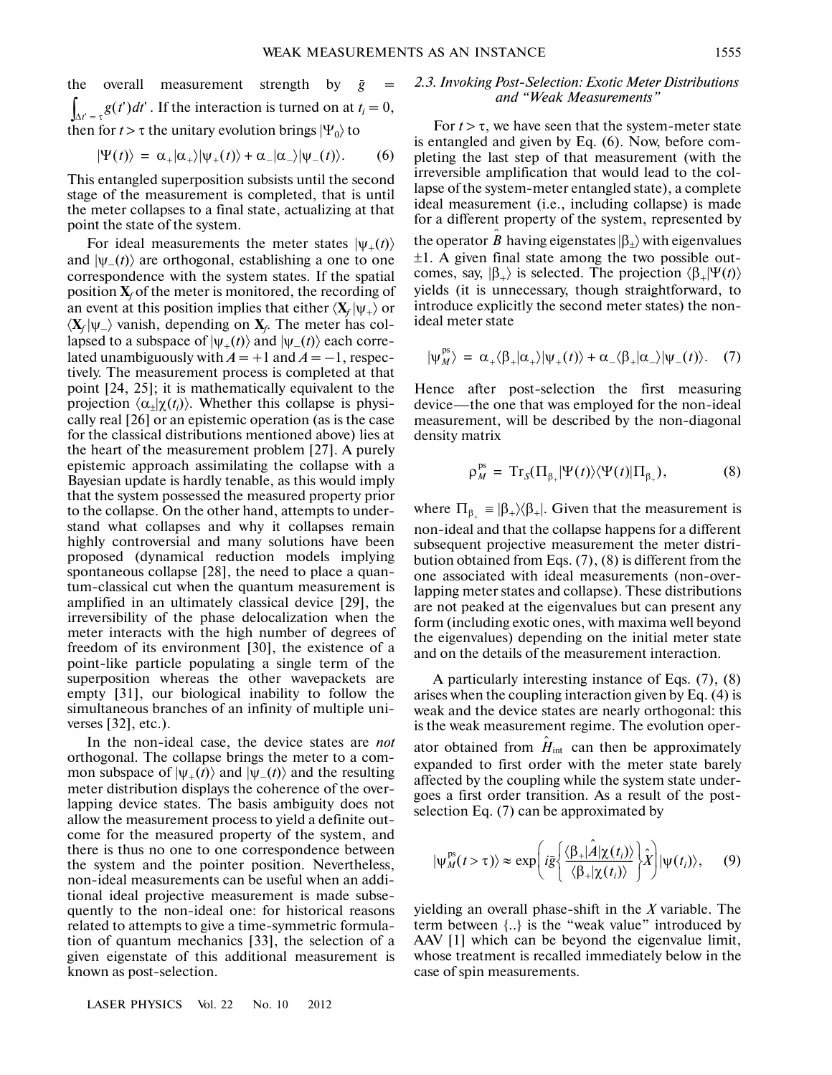the overall measurement strength by  $\bar{g}$  =  $\int_{\Delta t' = \tau} g(t') dt'$ . If the interaction is turned on at  $t_i = 0$ , then for  $t > \tau$  the unitary evolution brings  $|\Psi_0\rangle$  to

$$
|\Psi(t)\rangle = \alpha_{+}|\alpha_{+}\rangle|\psi_{+}(t)\rangle + \alpha_{-}|\alpha_{-}\rangle|\psi_{-}(t)\rangle. \qquad (6)
$$

This entangled superposition subsists until the second stage of the measurement is completed, that is until the meter collapses to a final state, actualizing at that point the state of the system.

For ideal measurements the meter states  $|\psi_+(t)\rangle$ and  $|\psi_-(t)\rangle$  are orthogonal, establishing a one to one correspondence with the system states. If the spatial position  $\mathbf{X}_f$  of the meter is monitored, the recording of an event at this position implies that either  $\langle X_f | \psi_+ \rangle$  or  $\langle X_f | \psi_-\rangle$  vanish, depending on  $X_f$ . The meter has collapsed to a subspace of  $|\psi_+(t)\rangle$  and  $|\psi_-(t)\rangle$  each correlated unambiguously with  $A = +1$  and  $A = -1$ , respectively. The measurement process is completed at that point [24, 25]; it is mathematically equivalent to the projection  $\langle \alpha_{\pm} | \chi(t_i) \rangle$ . Whether this collapse is physically real [26] or an epistemic operation (as is the case for the classical distributions mentioned above) lies at the heart of the measurement problem [27]. A purely epistemic approach assimilating the collapse with a Bayesian update is hardly tenable, as this would imply that the system possessed the measured property prior to the collapse. On the other hand, attempts to under stand what collapses and why it collapses remain highly controversial and many solutions have been proposed (dynamical reduction models implying spontaneous collapse [28], the need to place a quan tum-classical cut when the quantum measurement is amplified in an ultimately classical device [29], the irreversibility of the phase delocalization when the meter interacts with the high number of degrees of freedom of its environment [30], the existence of a point-like particle populating a single term of the superposition whereas the other wavepackets are empty [31], our biological inability to follow the simultaneous branches of an infinity of multiple uni verses [32], etc.).

In the non-ideal case, the device states are *not* orthogonal. The collapse brings the meter to a com mon subspace of  $|\psi_+(t)\rangle$  and  $|\psi_-(t)\rangle$  and the resulting meter distribution displays the coherence of the over lapping device states. The basis ambiguity does not allow the measurement process to yield a definite out come for the measured property of the system, and there is thus no one to one correspondence between the system and the pointer position. Nevertheless, non-ideal measurements can be useful when an addi tional ideal projective measurement is made subse quently to the non-ideal one: for historical reasons related to attempts to give a time-symmetric formula tion of quantum mechanics [33], the selection of a given eigenstate of this additional measurement is known as post-selection.

#### *2.3. Invoking Post-Selection: Exotic Meter Distributions and "Weak Measurements"*

For  $t > \tau$ , we have seen that the system-meter state is entangled and given by Eq. (6). Now, before com pleting the last step of that measurement (with the irreversible amplification that would lead to the col lapse of the system-meter entangled state), a complete ideal measurement (i.e., including collapse) is made for a different property of the system, represented by the operator  $\hat{\mathbf{\beta}}$  having eigenstates  $|\beta_{\pm}\rangle$  with eigenvalues ±1. A given final state among the two possible out comes, say,  $|\beta_{+}\rangle$  is selected. The projection  $\langle \beta_{+}|\Psi(t)\rangle$ yields (it is unnecessary, though straightforward, to introduce explicitly the second meter states) the non ideal meter state

$$
|\psi_M^{ps}\rangle = \alpha_+\langle\beta_+|\alpha_+\rangle|\psi_+(t)\rangle + \alpha_-\langle\beta_+|\alpha_-\rangle|\psi_-(t)\rangle. \quad (7)
$$

Hence after post-selection the first measuring device—the one that was employed for the non-ideal measurement, will be described by the non-diagonal density matrix

$$
\rho_M^{ps} = \mathrm{Tr}_S(\Pi_{\beta_+}|\Psi(t)\rangle\langle\Psi(t)|\Pi_{\beta_+}), \tag{8}
$$

where  $\Pi_{\beta_{+}} \equiv |\beta_{+}\rangle\langle\beta_{+}|$ . Given that the measurement is non-ideal and that the collapse happens for a different subsequent projective measurement the meter distri bution obtained from Eqs. (7), (8) is different from the one associated with ideal measurements (non-over lapping meter states and collapse). These distributions are not peaked at the eigenvalues but can present any form (including exotic ones, with maxima well beyond the eigenvalues) depending on the initial meter state and on the details of the measurement interaction.

A particularly interesting instance of Eqs. (7), (8) arises when the coupling interaction given by Eq. (4) is weak and the device states are nearly orthogonal: this is the weak measurement regime. The evolution oper-

ator obtained from  $\hat{H}_{int}$  can then be approximately expanded to first order with the meter state barely affected by the coupling while the system state under goes a first order transition. As a result of the post selection Eq. (7) can be approximated by

$$
|\psi_M^{\text{ps}}(t>\tau)\rangle \approx \exp\left(i\bar{g}\left\{\frac{\langle\beta_+\mid\hat{A}\mid\chi(t_i)\rangle}{\langle\beta_+\mid\chi(t_i)\rangle}\right\}\hat{X}\right)|\psi(t_i)\rangle, \quad (9)
$$

yielding an overall phase-shift in the *X* variable. The term between {..} is the "weak value" introduced by AAV [1] which can be beyond the eigenvalue limit, whose treatment is recalled immediately below in the case of spin measurements.

LASER PHYSICS Vol. 22 No. 10 2012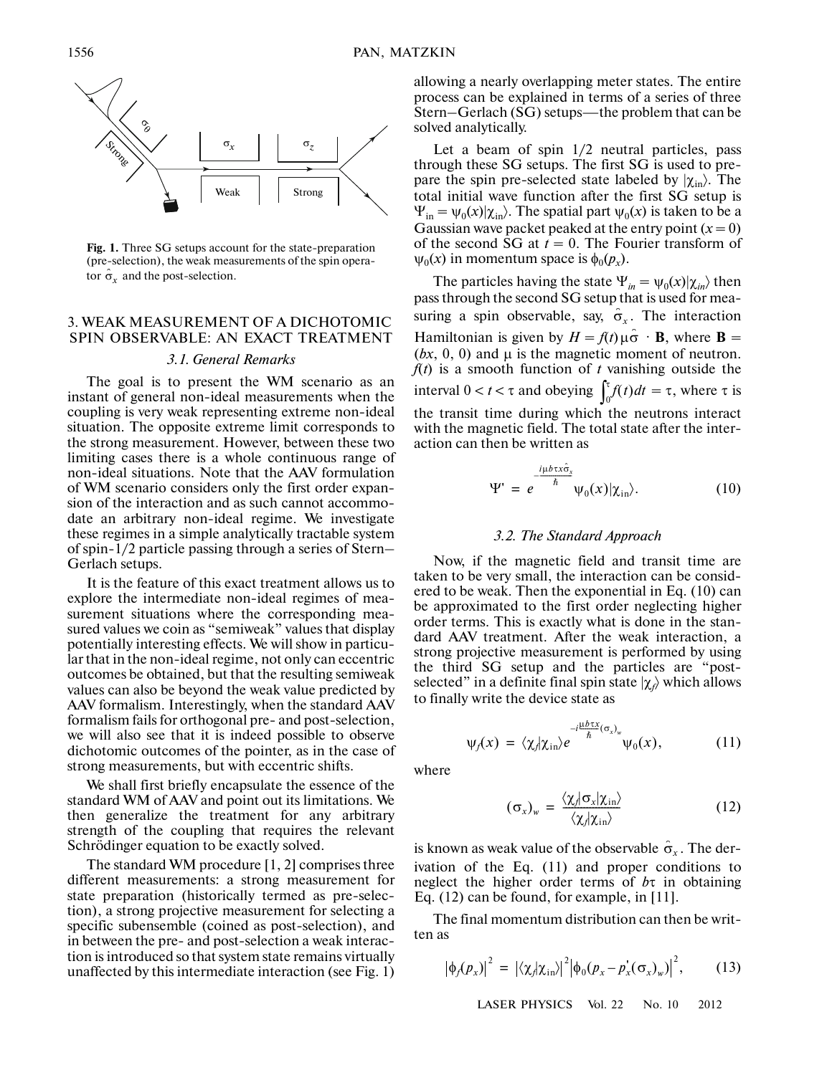

**Fig. 1.** Three SG setups account for the state-preparation (pre-selection), the weak measurements of the spin opera tor  $\hat{\sigma}_x$  and the post-selection.

# 3. WEAK MEASUREMENT OF A DICHOTOMIC SPIN OBSERVABLE: AN EXACT TREATMENT

## *3.1. General Remarks*

The goal is to present the WM scenario as an instant of general non-ideal measurements when the coupling is very weak representing extreme non-ideal situation. The opposite extreme limit corresponds to the strong measurement. However, between these two limiting cases there is a whole continuous range of non-ideal situations. Note that the AAV formulation of WM scenario considers only the first order expan sion of the interaction and as such cannot accommo date an arbitrary non-ideal regime. We investigate these regimes in a simple analytically tractable system of spin-1/2 particle passing through a series of Stern– Gerlach setups.

It is the feature of this exact treatment allows us to explore the intermediate non-ideal regimes of mea surement situations where the corresponding mea sured values we coin as "semiweak" values that display potentially interesting effects. We will show in particu lar that in the non-ideal regime, not only can eccentric outcomes be obtained, but that the resulting semiweak values can also be beyond the weak value predicted by AAV formalism. Interestingly, when the standard AAV formalism fails for orthogonal pre- and post-selection, we will also see that it is indeed possible to observe dichotomic outcomes of the pointer, as in the case of strong measurements, but with eccentric shifts.

We shall first briefly encapsulate the essence of the standard WM of AAV and point out its limitations. We then generalize the treatment for any arbitrary strength of the coupling that requires the relevant Schrödinger equation to be exactly solved.

The standard WM procedure [1, 2] comprises three different measurements: a strong measurement for state preparation (historically termed as pre-selec tion), a strong projective measurement for selecting a specific subensemble (coined as post-selection), and in between the pre- and post-selection a weak interac tion is introduced so that system state remains virtually unaffected by this intermediate interaction (see Fig. 1) allowing a nearly overlapping meter states. The entire process can be explained in terms of a series of three Stern–Gerlach (SG) setups—the problem that can be solved analytically.

Let a beam of spin 1/2 neutral particles, pass through these SG setups. The first SG is used to pre pare the spin pre-selected state labeled by  $|\chi_{\text{in}}\rangle$ . The total initial wave function after the first SG setup is  $\Psi_{\text{in}} = \psi_0(x) | \chi_{\text{in}}\rangle$ . The spatial part  $\psi_0(x)$  is taken to be a Gaussian wave packet peaked at the entry point  $(x = 0)$ of the second SG at  $t = 0$ . The Fourier transform of  $\psi_0(x)$  in momentum space is  $\phi_0(p_x)$ .

The particles having the state  $\Psi_{in} = \psi_0(x) | \chi_{in} \rangle$  then pass through the second SG setup that is used for mea suring a spin observable, say,  $\hat{\sigma}_x$ . The interaction Hamiltonian is given by  $H = f(t) \mu \hat{\sigma} \cdot \mathbf{B}$ , where **B** = (*bx*, 0, 0) and μ is the magnetic moment of neutron. *f*(*t*) is a smooth function of *t* vanishing outside the interval  $0 < t < \tau$  and obeying  $\int_0^{\tau} f(t) dt = \tau$ , where  $\tau$  is the transit time during which the neutrons interact with the magnetic field. The total state after the inter action can then be written as  $\int_0^{\tau}$ 

$$
\Psi' = e^{-\frac{i\mu b \tau x \hat{\sigma}_x}{\hbar}} \Psi_0(x) |\chi_{\rm in} \rangle. \tag{10}
$$

# *3.2. The Standard Approach*

Now, if the magnetic field and transit time are taken to be very small, the interaction can be consid ered to be weak. Then the exponential in Eq. (10) can be approximated to the first order neglecting higher order terms. This is exactly what is done in the stan dard AAV treatment. After the weak interaction, a strong projective measurement is performed by using the third SG setup and the particles are "post selected" in a definite final spin state |χ*<sup>f</sup>* 〉 which allows to finally write the device state as

$$
\psi_f(x) = \langle \chi_f | \chi_{\rm in} \rangle e^{-i \frac{\mu b \tau x}{\hbar} (\sigma_x)_w} \psi_0(x), \qquad (11)
$$

where

$$
(\sigma_x)_w = \frac{\langle \chi / \sigma_x | \chi_{\rm in} \rangle}{\langle \chi / \chi_{\rm in} \rangle} \tag{12}
$$

is known as weak value of the observable  $\hat{\sigma}_x$ . The derivation of the Eq. (11) and proper conditions to neglect the higher order terms of *b*τ in obtaining Eq. (12) can be found, for example, in [11].

The final momentum distribution can then be writ ten as

$$
\left|\phi_f(p_x)\right|^2 = \left|\langle \chi_f|\chi_{\text{in}}\rangle\right|^2 \left|\phi_0(p_x - p_x'(\sigma_x)_w)\right|^2, \quad (13)
$$

LASER PHYSICS Vol. 22 No. 10 2012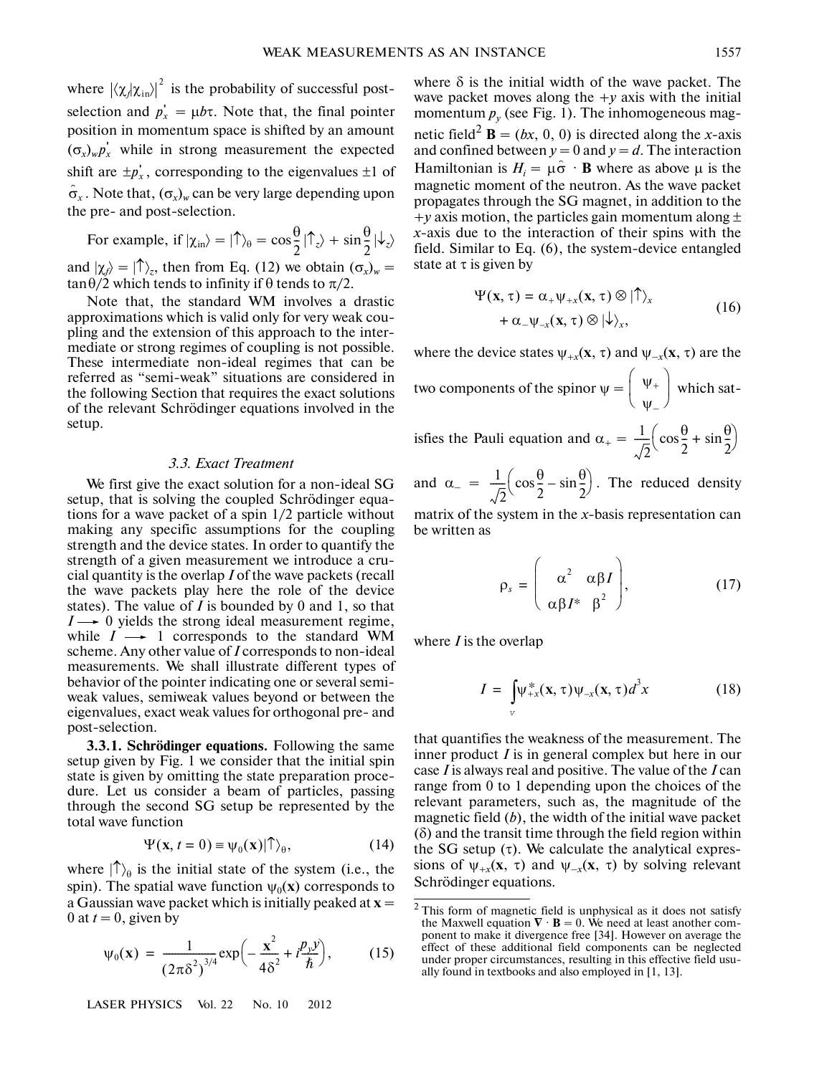where  $|\langle \chi_A | \chi_{\text{in}} \rangle|^2$  is the probability of successful postselection and  $p_x' = \mu b\tau$ . Note that, the final pointer position in momentum space is shifted by an amount  $(\sigma_x)_{\psi} p'_x$  while in strong measurement the expected shift are  $\pm p_x^{\prime}$ , corresponding to the eigenvalues  $\pm 1$  of  $\hat{\sigma}_x$ . Note that,  $(\sigma_x)_w$  can be very large depending upon the pre- and post-selection.

For example, if  $|\chi_{in}\rangle = |\hat{\phi}|_0 = \cos{\frac{\theta}{2}} |\hat{\phi}|_z + \sin{\frac{\theta}{2}} |\hat{\phi}|_z$ and  $|\chi_j\rangle = |\uparrow\rangle_z$ , then from Eq. (12) we obtain  $(\sigma_x)_{w} =$ tan $\theta/2$  which tends to infinity if  $\theta$  tends to  $\pi/2$ .  $\frac{\theta}{2}$  |  $\uparrow$  z + sin  $\frac{\theta}{2}$  $\frac{1}{2}$ 

Note that, the standard WM involves a drastic approximations which is valid only for very weak cou pling and the extension of this approach to the inter mediate or strong regimes of coupling is not possible. These intermediate non-ideal regimes that can be referred as "semi-weak" situations are considered in the following Section that requires the exact solutions of the relevant Schrödinger equations involved in the setup.

#### *3.3. Exact Treatment*

We first give the exact solution for a non-ideal SG setup, that is solving the coupled Schrödinger equa tions for a wave packet of a spin 1/2 particle without making any specific assumptions for the coupling strength and the device states. In order to quantify the strength of a given measurement we introduce a cru cial quantity is the overlap *I* of the wave packets (recall the wave packets play here the role of the device states). The value of *I* is bounded by 0 and 1, so that  $I \rightarrow 0$  yields the strong ideal measurement regime, while  $I \rightarrow 1$  corresponds to the standard WM scheme. Any other value of *I* corresponds to non-ideal measurements. We shall illustrate different types of behavior of the pointer indicating one or several semi weak values, semiweak values beyond or between the eigenvalues, exact weak values for orthogonal pre- and post-selection.

**3.3.1. Schrödinger equations.** Following the same setup given by Fig. 1 we consider that the initial spin state is given by omitting the state preparation proce dure. Let us consider a beam of particles, passing through the second SG setup be represented by the total wave function

$$
\Psi(\mathbf{x}, t=0) \equiv \psi_0(\mathbf{x}) | \hat{\mathsf{T}} \rangle_{\theta}, \tag{14}
$$

where  $|\uparrow\rangle_{\theta}$  is the initial state of the system (i.e., the spin). The spatial wave function  $\psi_0(\mathbf{x})$  corresponds to a Gaussian wave packet which is initially peaked at  $\mathbf{x} =$ 0 at  $t = 0$ , given by

$$
\Psi_0(\mathbf{x}) = \frac{1}{(2\pi\delta^2)^{3/4}} \exp\left(-\frac{\mathbf{x}^2}{4\delta^2} + i\frac{p_y y}{\hbar}\right),\tag{15}
$$

LASER PHYSICS Vol. 22 No. 10 2012

where  $\delta$  is the initial width of the wave packet. The wave packet moves along the  $+y$  axis with the initial momentum  $p_y$  (see Fig. 1). The inhomogeneous magnetic field<sup>2</sup>  $\mathbf{B} = (bx, 0, 0)$  is directed along the *x*-axis and confined between  $y = 0$  and  $y = d$ . The interaction Hamiltonian is  $H_i = \mu \hat{\sigma} \cdot \mathbf{B}$  where as above  $\mu$  is the magnetic moment of the neutron. As the wave packet propagates through the SG magnet, in addition to the  $+y$  axis motion, the particles gain momentum along  $\pm$ *x*-axis due to the interaction of their spins with the field. Similar to Eq. (6), the system-device entangled state at  $\tau$  is given by

$$
\Psi(\mathbf{x}, \tau) = \alpha_+ \psi_{+x}(\mathbf{x}, \tau) \otimes |\mathbf{1}\rangle_x + \alpha_- \psi_{-x}(\mathbf{x}, \tau) \otimes |\psi_{\lambda},
$$
\n(16)

where the device states  $\psi_{+x}(x, \tau)$  and  $\psi_{-x}(x, \tau)$  are the two components of the spinor  $\psi = \begin{pmatrix} \psi_+ \\ \psi_- \end{pmatrix}$  which satisfies the Pauli equation and  $\alpha_{+} = \frac{1}{4\pi}$ 2  $\frac{1}{5} \left( \cos \frac{\theta}{2} \right)$  $\cos\frac{\theta}{2} + \sin\frac{\theta}{2}$  $\left(\cos\frac{\theta}{2} + \sin\frac{\theta}{2}\right)$ 

and  $\alpha_{-} = \frac{1}{\epsilon} \left( \cos \frac{\theta}{2} - \sin \frac{\theta}{2} \right)$ . The reduced density 2  $\frac{1}{5} \left( \cos \frac{\theta}{2} \right)$  $\left(\cos\frac{\theta}{2} - \sin\frac{\theta}{2}\right)$ 

matrix of the system in the *x*-basis representation can be written as

$$
\rho_s = \begin{pmatrix} \alpha^2 & \alpha \beta I \\ \alpha \beta I^* & \beta^2 \end{pmatrix}, \tag{17}
$$

where *I* is the overlap

$$
I = \int_{V} \psi_{+x}^{*}(\mathbf{x}, \tau) \psi_{-x}(\mathbf{x}, \tau) d^{3}x \qquad (18)
$$

that quantifies the weakness of the measurement. The inner product *I* is in general complex but here in our case *I* is always real and positive. The value of the *I* can range from 0 to 1 depending upon the choices of the relevant parameters, such as, the magnitude of the magnetic field (*b*), the width of the initial wave packet (δ) and the transit time through the field region within the SG setup  $(\tau)$ . We calculate the analytical expressions of  $\psi_{+x}(x, \tau)$  and  $\psi_{-x}(x, \tau)$  by solving relevant Schrödinger equations.

This form of magnetic field is unphysical as it does not satisfy the Maxwell equation  $\nabla \cdot \mathbf{B} = 0$ . We need at least another component to make it divergence free [34]. However on average the effect of these additional field components can be neglected under proper circumstances, resulting in this effective field usu ally found in textbooks and also employed in [1, 13].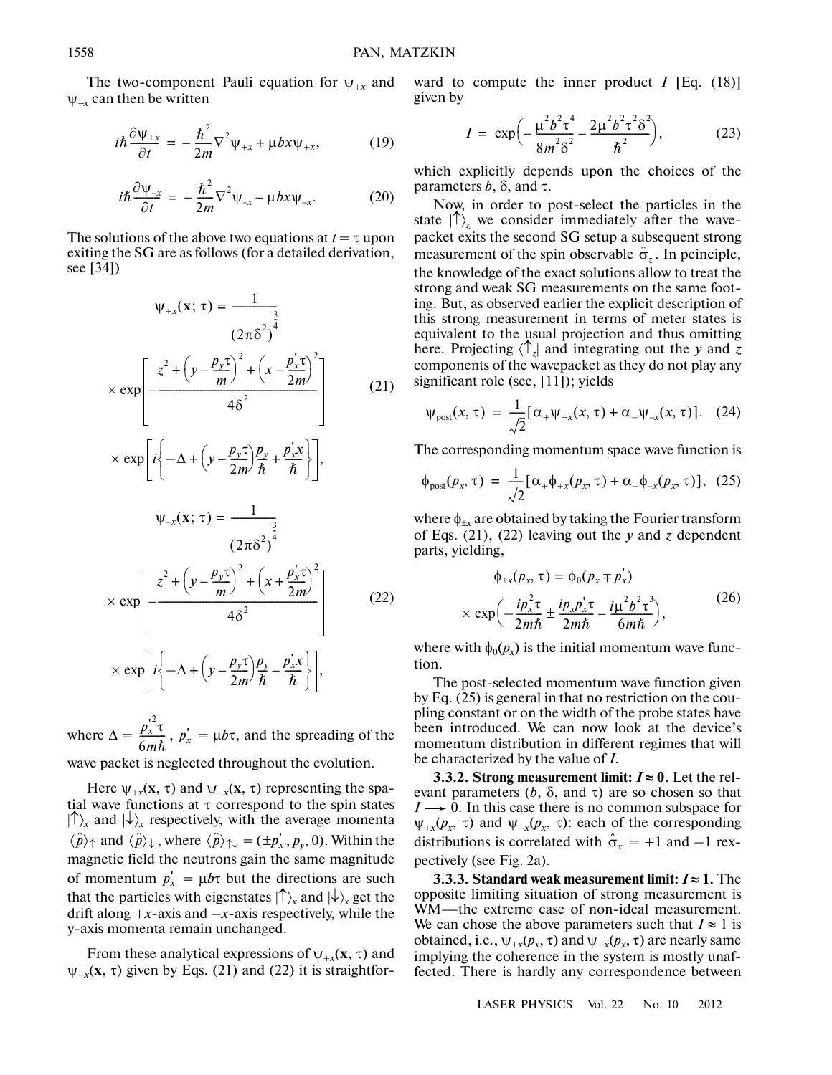The two-component Pauli equation for  $\psi_{+x}$  and <sup>ψ</sup><sup>⎯</sup>*x* can then be written

$$
i\hbar \frac{\partial \psi_{+x}}{\partial t} = -\frac{\hbar^2}{2m} \nabla^2 \psi_{+x} + \mu bx \psi_{+x}, \tag{19}
$$

$$
i\hbar \frac{\partial \psi_{-x}}{\partial t} = -\frac{\hbar^2}{2m} \nabla^2 \psi_{-x} - \mu b x \psi_{-x}.
$$
 (20)

The solutions of the above two equations at  $t = \tau$  upon exiting the SG are as follows (for a detailed derivation, see [34])

$$
\psi_{+x}(\mathbf{x}; \tau) = \frac{1}{(2\pi\delta^2)^{\frac{3}{4}}}
$$
  
\n
$$
\times \exp\left[-\frac{z^2 + (y - \frac{p_y \tau}{m})^2 + (x - \frac{p_x^2 \tau}{2m})^2}{4\delta^2}\right]
$$
  
\n
$$
\times \exp\left[i\left(-\Delta + (y - \frac{p_y \tau}{2m})\frac{p_y}{\hbar} + \frac{p_x^2 \tau}{\hbar}\right]\right],
$$
  
\n
$$
\psi_{-x}(\mathbf{x}; \tau) = \frac{1}{(2\pi\delta^2)^{\frac{3}{4}}}
$$
  
\n
$$
\times \exp\left[-\frac{z^2 + (y - \frac{p_y \tau}{m})^2 + (x + \frac{p_x^2 \tau}{2m})^2}{4\delta^2}\right]
$$
  
\n
$$
\times \exp\left[i\left(-\Delta + (y - \frac{p_y \tau}{2m})\frac{p_y}{\hbar} - \frac{p_x^2 \tau}{\hbar}\right]\right],
$$
  
\n(22)

where  $\Delta = \frac{p_x^2 \tau}{\epsilon_0 r}$ ,  $p_x' = \mu b \tau$ , and the spreading of the wave packet is neglected throughout the evolution.  $\frac{p_x}{6m\hbar}$ ,  $p_x$ 

Here  $\psi_{+x}(\mathbf{x}, \tau)$  and  $\psi_{-x}(\mathbf{x}, \tau)$  representing the spatial wave functions at  $\tau$  correspond to the spin states  $|\uparrow\rangle$ <sub>*x*</sub> and  $|\downarrow\rangle$ <sub>*x*</sub> respectively, with the average momenta  $\langle \hat{p} \rangle_{\uparrow}$  and  $\langle \hat{p} \rangle_{\downarrow}$  , where  $\langle \hat{p} \rangle_{\uparrow\downarrow} = (\pm p_x^{\dagger}, p_y, 0)$ . Within the magnetic field the neutrons gain the same magnitude of momentum  $p'_x = \mu b\tau$  but the directions are such that the particles with eigenstates  $|\uparrow\rangle_x$  and  $|\downarrow\rangle_x$  get the drift along  $+x$ -axis and  $-x$ -axis respectively, while the y-axis momenta remain unchanged.

From these analytical expressions of  $\psi_{+x}(\mathbf{x}, \tau)$  and  $\psi_{-x}(\mathbf{x}, \tau)$  given by Eqs. (21) and (22) it is straightforward to compute the inner product  $I$  [Eq. (18)] given by

$$
I = \exp\left(-\frac{\mu^2 b^2 \tau^4}{8m^2 \delta^2} - \frac{2\mu^2 b^2 \tau^2 \delta^2}{\hbar^2}\right),\tag{23}
$$

which explicitly depends upon the choices of the parameters *b*,  $\delta$ , and τ.

Now, in order to post-select the particles in the state  $|\uparrow\rangle$ <sub>z</sub> we consider immediately after the wavepacket exits the second SG setup a subsequent strong measurement of the spin observable  $\hat{\sigma}_z$ . In peinciple, the knowledge of the exact solutions allow to treat the strong and weak SG measurements on the same foot ing. But, as observed earlier the explicit description of this strong measurement in terms of meter states is equivalent to the usual projection and thus omitting here. Projecting 〈↑*z*| and integrating out the *y* and *z* components of the wavepacket as they do not play any significant role (see, [11]); yields

$$
\psi_{\text{post}}(x,\tau) = \frac{1}{\sqrt{2}} [\alpha_+ \psi_{+x}(x,\tau) + \alpha_- \psi_{-x}(x,\tau)]. \quad (24)
$$

The corresponding momentum space wave function is

$$
\phi_{\text{post}}(p_x, \tau) = \frac{1}{\sqrt{2}} [\alpha_+ \phi_{+x}(p_x, \tau) + \alpha_- \phi_{-x}(p_x, \tau)], \quad (25)
$$

where  $\phi_{\pm x}$  are obtained by taking the Fourier transform of Eqs. (21), (22) leaving out the *y* and *z* dependent parts, yielding,

$$
\phi_{\pm x}(p_x, \tau) = \phi_0(p_x \mp p_x')
$$
  
 
$$
\times \exp\left(-\frac{ip_x^2 \tau}{2m\hbar} \pm \frac{ip_x p_x^2 \tau}{2m\hbar} - \frac{i\mu^2 b^2 \tau^3}{6m\hbar}\right),
$$
 (26)

where with  $\phi_0(p_x)$  is the initial momentum wave function.

The post-selected momentum wave function given by Eq. (25) is general in that no restriction on the cou pling constant or on the width of the probe states have been introduced. We can now look at the device's momentum distribution in different regimes that will be characterized by the value of *I*.

**3.3.2. Strong measurement limit:**  $I \approx 0$ **. Let the rel**evant parameters  $(b, \delta, \text{ and } \tau)$  are so chosen so that  $I \rightarrow 0$ . In this case there is no common subspace for  $\psi_{+x}(p_x, \tau)$  and  $\psi_{-x}(p_x, \tau)$ : each of the corresponding distributions is correlated with  $\hat{\sigma}_x = +1$  and  $-1$  rexpectively (see Fig. 2a).

**3.3.3. Standard weak measurement limit:**  $I \approx 1$ . The opposite limiting situation of strong measurement is WM—the extreme case of non-ideal measurement. We can chose the above parameters such that  $I \approx 1$  is obtained, i.e.,  $\psi_{+x}(p_x, \tau)$  and  $\psi_{-x}(p_x, \tau)$  are nearly same implying the coherence in the system is mostly unaf fected. There is hardly any correspondence between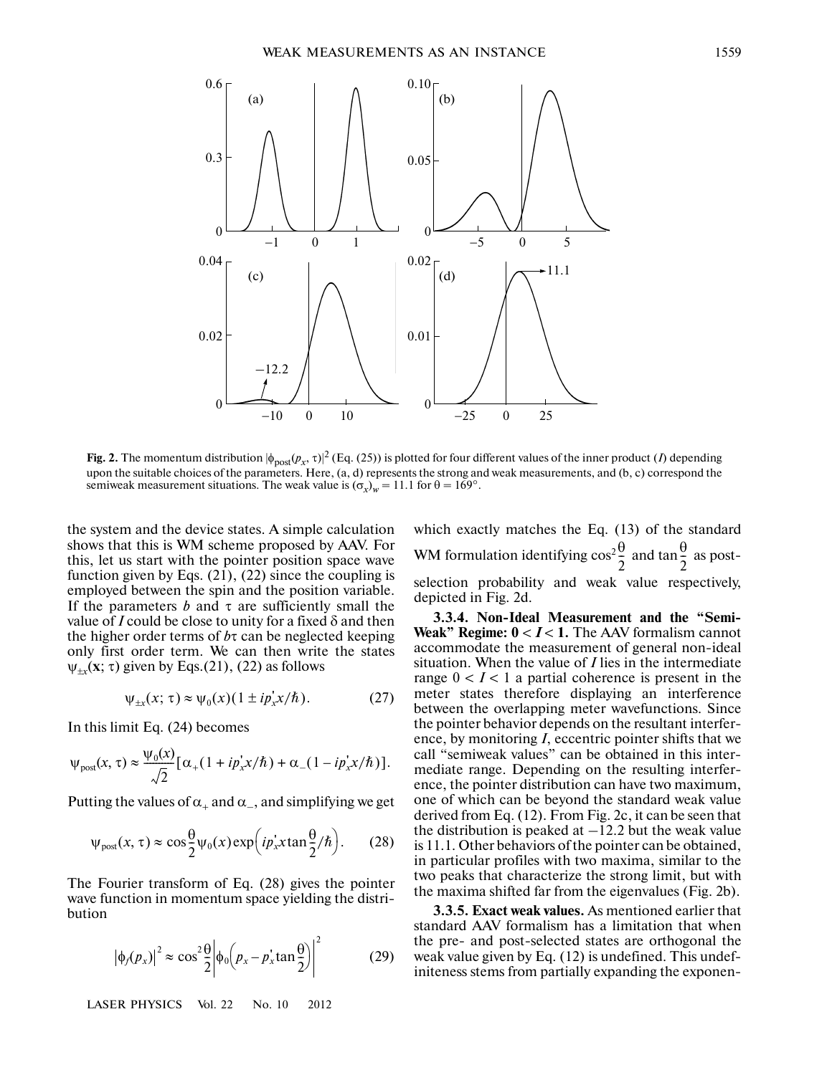

**Fig. 2.** The momentum distribution  $|\phi_{post}(p_x, \tau)|^2$  (Eq. (25)) is plotted for four different values of the inner product (*I*) depending upon the suitable choices of the parameters. Here,  $(a, d)$  represents the strong and weak measurements, and  $(b, c)$  correspond the semiweak measurement situations. The weak value is  $(\sigma_x)_w = 11.1$  for  $\theta = 169^\circ$ .

the system and the device states. A simple calculation shows that this is WM scheme proposed by AAV. For this, let us start with the pointer position space wave function given by Eqs.  $(21)$ ,  $(22)$  since the coupling is employed between the spin and the position variable. If the parameters  $b$  and  $\tau$  are sufficiently small the value of *I* could be close to unity for a fixed  $\delta$  and then the higher order terms of *b*τ can be neglected keeping only first order term. We can then write the states  $\psi_{\pm x}(\mathbf{x}; \tau)$  given by Eqs.(21), (22) as follows

$$
\psi_{\pm x}(x;\,\tau) \approx \psi_0(x)(1 \pm i p_x^{\prime} x/\hbar). \tag{27}
$$

In this limit Eq. (24) becomes

$$
\psi_{\text{post}}(x,\tau) \approx \frac{\psi_0(x)}{\sqrt{2}} \big[ \alpha_+(1 + ip_x^{\dagger} x/\hbar) + \alpha_-(1 - ip_x^{\dagger} x/\hbar) \big].
$$

Putting the values of  $\alpha_+$  and  $\alpha_-$ , and simplifying we get

$$
\psi_{\text{post}}(x,\tau) \approx \cos\frac{\theta}{2}\psi_0(x)\exp\left(ip_x^{\dagger}x\tan\frac{\theta}{2}/\hbar\right). \tag{28}
$$

The Fourier transform of Eq. (28) gives the pointer wave function in momentum space yielding the distri bution

$$
|\phi_j(p_x)|^2 \approx \cos^2 \frac{\theta}{2} \left| \phi_0 \left( p_x - p_x^{\dagger} \tan \frac{\theta}{2} \right) \right|^2 \tag{29}
$$

LASER PHYSICS Vol. 22 No. 10 2012

which exactly matches the Eq. (13) of the standard WM formulation identifying  $\cos^2 \frac{\theta}{2}$  and  $\tan \frac{\theta}{2}$  as postselection probability and weak value respectively, depicted in Fig. 2d.  $\frac{\theta}{2}$  and tan  $\frac{\theta}{2}$  $\frac{0}{2}$ 

**3.3.4. Non-Ideal Measurement and the "Semi- Weak" Regime:**  $0 < I < 1$ **. The AAV formalism cannot** accommodate the measurement of general non-ideal situation. When the value of *I* lies in the intermediate range  $0 < I < 1$  a partial coherence is present in the meter states therefore displaying an interference between the overlapping meter wavefunctions. Since the pointer behavior depends on the resultant interfer ence, by monitoring *I*, eccentric pointer shifts that we call "semiweak values" can be obtained in this inter mediate range. Depending on the resulting interfer ence, the pointer distribution can have two maximum, one of which can be beyond the standard weak value derived from Eq. (12). From Fig. 2c, it can be seen that the distribution is peaked at  $-12.2$  but the weak value is 11.1. Other behaviors of the pointer can be obtained, in particular profiles with two maxima, similar to the two peaks that characterize the strong limit, but with the maxima shifted far from the eigenvalues (Fig. 2b).

**3.3.5. Exact weak values.** As mentioned earlier that standard AAV formalism has a limitation that when the pre- and post-selected states are orthogonal the weak value given by Eq. (12) is undefined. This undef initeness stems from partially expanding the exponen-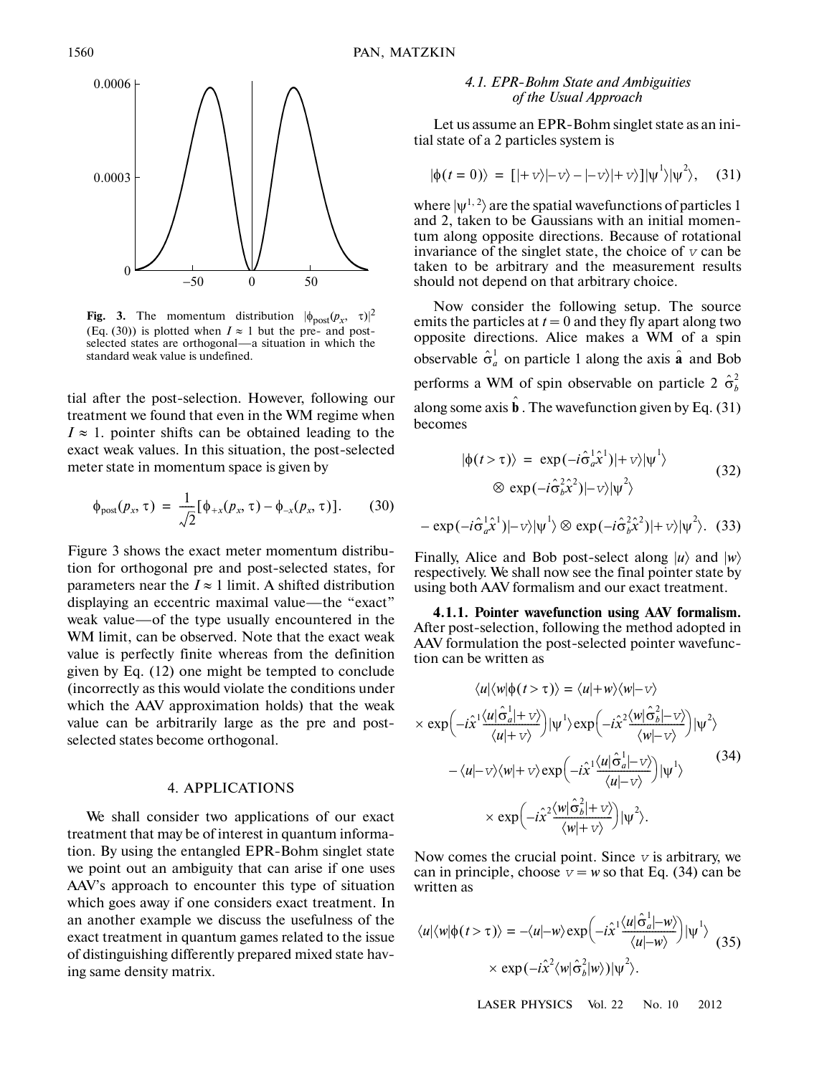

**Fig. 3.** The momentum distribution  $|\phi_{\text{post}}(p_x, \tau)|^2$ (Eq. (30)) is plotted when  $I \approx 1$  but the pre- and postselected states are orthogonal—a situation in which the standard weak value is undefined.

tial after the post-selection. However, following our treatment we found that even in the WM regime when  $I \approx 1$ . pointer shifts can be obtained leading to the exact weak values. In this situation, the post-selected meter state in momentum space is given by

$$
\phi_{\text{post}}(p_x, \tau) = \frac{1}{\sqrt{2}} [\phi_{+x}(p_x, \tau) - \phi_{-x}(p_x, \tau)]. \quad (30)
$$

Figure 3 shows the exact meter momentum distribu tion for orthogonal pre and post-selected states, for parameters near the  $I \approx 1$  limit. A shifted distribution displaying an eccentric maximal value—the "exact" weak value—of the type usually encountered in the WM limit, can be observed. Note that the exact weak value is perfectly finite whereas from the definition given by Eq. (12) one might be tempted to conclude (incorrectly as this would violate the conditions under which the AAV approximation holds) that the weak value can be arbitrarily large as the pre and post selected states become orthogonal.

## 4. APPLICATIONS

We shall consider two applications of our exact treatment that may be of interest in quantum informa tion. By using the entangled EPR-Bohm singlet state we point out an ambiguity that can arise if one uses AAV's approach to encounter this type of situation which goes away if one considers exact treatment. In an another example we discuss the usefulness of the exact treatment in quantum games related to the issue of distinguishing differently prepared mixed state hav ing same density matrix.

## *4.1. EPR-Bohm State and Ambiguities of the Usual Approach*

Let us assume an EPR-Bohm singlet state as an ini tial state of a 2 particles system is

$$
|\phi(t=0)\rangle = [|+v\rangle|+v\rangle - |-v\rangle|+v\rangle]|w^{1}\rangle|w^{2}\rangle, \quad (31)
$$

where  $|\psi^{1,2}\rangle$  are the spatial wavefunctions of particles 1 and 2, taken to be Gaussians with an initial momen tum along opposite directions. Because of rotational invariance of the singlet state, the choice of  $\nu$  can be taken to be arbitrary and the measurement results should not depend on that arbitrary choice.

Now consider the following setup. The source emits the particles at  $t = 0$  and they fly apart along two opposite directions. Alice makes a WM of a spin observable  $\hat{\sigma}_a^1$  on particle 1 along the axis  $\hat{\bf{a}}$  and Bob performs a WM of spin observable on particle 2  $\hat{\sigma}_b^2$ along some axis  $\hat{\mathbf{b}}$ . The wavefunction given by Eq. (31) becomes

$$
|\phi(t > \tau)\rangle = \exp(-i\hat{\sigma}_a^1 \hat{x}^1)|+v\rangle|\psi^1\rangle
$$
  
 
$$
\otimes \exp(-i\hat{\sigma}_b^2 \hat{x}^2)|-v\rangle|\psi^2\rangle
$$
 (32)

$$
-\exp(-i\hat{\sigma}_a^1\hat{x}^1)|-v\rangle|\psi^1\rangle \otimes \exp(-i\hat{\sigma}_b^2\hat{x}^2)|+v\rangle|\psi^2\rangle. (33)
$$

Finally, Alice and Bob post-select along  $|u\rangle$  and  $|w\rangle$ respectively. We shall now see the final pointer state by using both AAV formalism and our exact treatment.

**4.1.1. Pointer wavefunction using AAV formalism.** After post-selection, following the method adopted in AAV formulation the post-selected pointer wavefunc tion can be written as

$$
\langle u | \langle w | \phi(t > \tau) \rangle = \langle u | + w \rangle \langle w | - v \rangle
$$
  
\n
$$
\times \exp\left(-i\hat{x} \frac{\langle u | \hat{\sigma}_a^1 | + v \rangle}{\langle u | + v \rangle}\right) |\psi^1 \rangle \exp\left(-i\hat{x} \frac{\langle w | \hat{\sigma}_b^2 | - v \rangle}{\langle w | - v \rangle}\right) |\psi^2 \rangle
$$
  
\n
$$
-\langle u | - v \rangle \langle w | + v \rangle \exp\left(-i\hat{x} \frac{\langle u | \hat{\sigma}_a^1 | - v \rangle}{\langle u | - v \rangle}\right) |\psi^1 \rangle
$$
  
\n
$$
\times \exp\left(-i\hat{x} \frac{\langle w | \hat{\sigma}_b^2 | + v \rangle}{\langle w | + v \rangle}\right) |\psi^2 \rangle.
$$
 (34)

Now comes the crucial point. Since  $\nu$  is arbitrary, we can in principle, choose  $v = w$  so that Eq. (34) can be written as

$$
\langle u|\langle w|\phi(t>\tau)\rangle = -\langle u| - w\rangle \exp\left(-i\hat{x}^1 \frac{\langle u|\hat{\sigma}_a^1| - w\rangle}{\langle u| - w\rangle}\right)|\psi^1\rangle
$$
\n
$$
\times \exp(-i\hat{x}^2 \langle w|\hat{\sigma}_b^2|w\rangle)|\psi^2\rangle.
$$
\n(35)

LASER PHYSICS Vol. 22 No. 10 2012

 $\ddot{\phantom{1}}$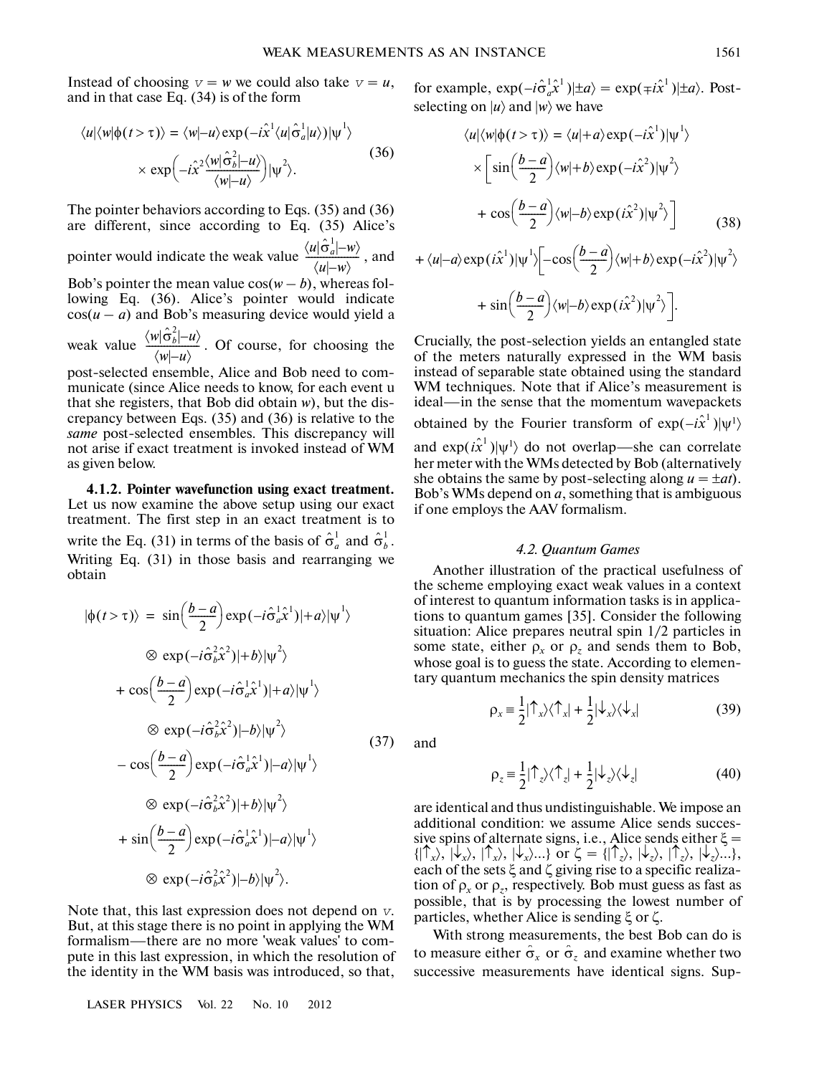Instead of choosing  $v = w$  we could also take  $v = u$ , and in that case Eq. (34) is of the form

$$
\langle u | \langle w | \phi(t > \tau) \rangle = \langle w | -u \rangle \exp(-i\hat{x}^1 \langle u | \hat{\sigma}_a^1 | u \rangle) | \psi^1 \rangle
$$
  
 
$$
\times \exp\left(-i\hat{x}^2 \frac{\langle w | \hat{\sigma}_b^2 | -u \rangle}{\langle w | -u \rangle} \right) | \psi^2 \rangle.
$$
 (36)

The pointer behaviors according to Eqs. (35) and (36) are different, since according to Eq. (35) Alice's pointer would indicate the weak value  $\frac{\langle u | \hat{\sigma}_a^1 | - w \rangle}{\langle u | - w \rangle}$ , and Bob's pointer the mean value  $cos(w - b)$ , whereas fol-

lowing Eq. (36). Alice's pointer would indicate  $cos(u - a)$  and Bob's measuring device would yield a

weak value  $\frac{\langle w | \hat{\sigma}_b^2 | -u \rangle}{\langle w | -u \rangle}$ . Of course, for choosing the

post-selected ensemble, Alice and Bob need to com municate (since Alice needs to know, for each event u that she registers, that Bob did obtain *w*), but the dis crepancy between Eqs. (35) and (36) is relative to the *same* post-selected ensembles. This discrepancy will not arise if exact treatment is invoked instead of WM as given below.

**4.1.2. Pointer wavefunction using exact treatment.** Let us now examine the above setup using our exact treatment. The first step in an exact treatment is to write the Eq. (31) in terms of the basis of  $\hat{\sigma}_a^1$  and  $\hat{\sigma}_b^1$ . Writing Eq. (31) in those basis and rearranging we obtain

$$
|\phi(t > \tau)\rangle = \sin\left(\frac{b-a}{2}\right) \exp(-i\hat{\sigma}_a^1 \hat{x}^1)|+a\rangle|\psi^1\rangle
$$
  
\n
$$
\otimes \exp(-i\hat{\sigma}_b^2 \hat{x}^2)|+b\rangle|\psi^2\rangle
$$
  
\n
$$
+\cos\left(\frac{b-a}{2}\right) \exp(-i\hat{\sigma}_a^1 \hat{x}^1)|+a\rangle|\psi^1\rangle
$$
  
\n
$$
\otimes \exp(-i\hat{\sigma}_b^2 \hat{x}^2)|-b\rangle|\psi^2\rangle
$$
  
\n
$$
-\cos\left(\frac{b-a}{2}\right) \exp(-i\hat{\sigma}_a^1 \hat{x}^1)|-a\rangle|\psi^1\rangle
$$
  
\n
$$
\otimes \exp(-i\hat{\sigma}_b^2 \hat{x}^2)|+b\rangle|\psi^2\rangle
$$
  
\n
$$
+\sin\left(\frac{b-a}{2}\right) \exp(-i\hat{\sigma}_a^1 \hat{x}^1)|-a\rangle|\psi^1\rangle
$$
  
\n
$$
\otimes \exp(-i\hat{\sigma}_b^2 \hat{x}^2)|-b\rangle|\psi^2\rangle.
$$

Note that, this last expression does not depend on v. But, at this stage there is no point in applying the WM formalism—there are no more 'weak values' to com pute in this last expression, in which the resolution of the identity in the WM basis was introduced, so that,

LASER PHYSICS Vol. 22 No. 10 2012

for example,  $\exp(-i \hat{\sigma}_a^{\dagger} \hat{x}^1)|\pm a\rangle = \exp(\mp i \hat{x}^1)|\pm a\rangle$ . Postselecting on  $|u\rangle$  and  $|w\rangle$  we have

$$
\langle u | \langle w | \phi(t > \tau) \rangle = \langle u | + a \rangle \exp(-i\hat{x}^1) | \psi^1 \rangle
$$
  
\n
$$
\times \left[ \sin\left(\frac{b-a}{2}\right) \langle w | + b \rangle \exp(-i\hat{x}^2) | \psi^2 \rangle + \cos\left(\frac{b-a}{2}\right) \langle w | - b \rangle \exp(i\hat{x}^2) | \psi^2 \rangle \right]
$$
(38)  
\n
$$
+ \langle u | - a \rangle \exp(i\hat{x}^1) | \psi^1 \rangle \left[ -\cos\left(\frac{b-a}{2}\right) \langle w | + b \rangle \exp(-i\hat{x}^2) | \psi^2 \rangle \right]
$$

$$
+\sin\left(\frac{b-a}{2}\right)\langle w|-\overline{b}\rangle\exp(i\hat{x}^2)|\psi^2\rangle\bigg].
$$

Crucially, the post-selection yields an entangled state of the meters naturally expressed in the WM basis instead of separable state obtained using the standard WM techniques. Note that if Alice's measurement is ideal—in the sense that the momentum wavepackets obtained by the Fourier transform of  $exp(-i\hat{x}^1)|\psi|^2$ and  $\exp(i\hat{x}^1)|\psi^1\rangle$  do not overlap—she can correlate her meter with the WMs detected by Bob (alternatively she obtains the same by post-selecting along  $u = \pm at$ ). Bob's WMs depend on *a*, something that is ambiguous if one employs the AAV formalism.

#### *4.2. Quantum Games*

Another illustration of the practical usefulness of the scheme employing exact weak values in a context of interest to quantum information tasks is in applica tions to quantum games [35]. Consider the following situation: Alice prepares neutral spin 1/2 particles in some state, either  $\rho_x$  or  $\rho_z$  and sends them to Bob, whose goal is to guess the state. According to elemen tary quantum mechanics the spin density matrices

$$
\rho_x = \frac{1}{2} |\hat{\mathsf{T}}_x \rangle \langle \hat{\mathsf{T}}_x | + \frac{1}{2} |\hat{\mathsf{T}}_x \rangle \langle \hat{\mathsf{T}}_x |
$$
 (39)

and

$$
\rho_z = \frac{1}{2} |\hat{\mathsf{T}}_z\rangle \langle \hat{\mathsf{T}}_z| + \frac{1}{2} |\hat{\mathsf{T}}_z\rangle \langle \hat{\mathsf{T}}_z|
$$
 (40)

are identical and thus undistinguishable. We impose an additional condition: we assume Alice sends succes sive spins of alternate signs, i.e., Alice sends either  $\xi =$  $\{|\uparrow_x\rangle, |\downarrow_x\rangle, |\uparrow_x\rangle, |\downarrow_x\rangle...\}$  or  $\zeta = \{|\uparrow_z\rangle, |\downarrow_z\rangle, |\uparrow_z\rangle, |\downarrow_z\rangle...\}$ each of the sets ξ and ζ giving rise to a specific realiza tion of  $\rho_x$  or  $\rho_z$ , respectively. Bob must guess as fast as possible, that is by processing the lowest number of particles, whether Alice is sending ξ or ζ.

With strong measurements, the best Bob can do is to measure either  $\hat{\sigma}_x$  or  $\hat{\sigma}_z$  and examine whether two successive measurements have identical signs. Sup-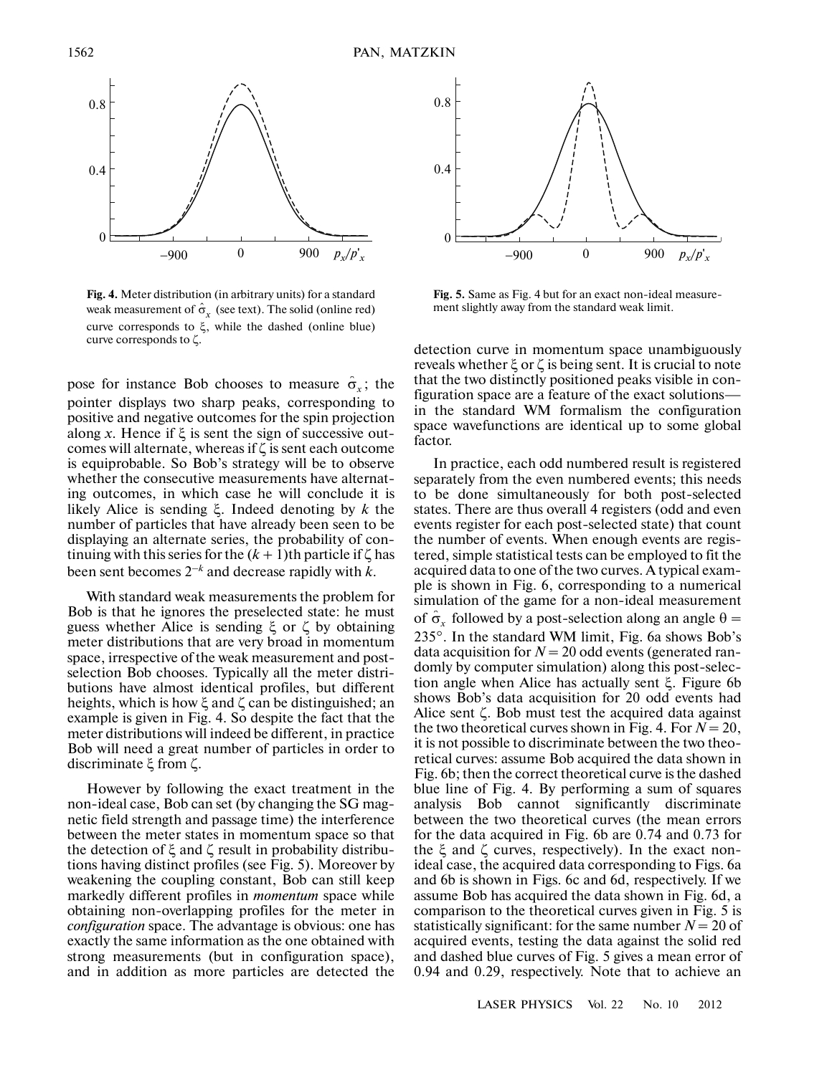

**Fig. 4.** Meter distribution (in arbitrary units) for a standard weak measurement of  $\hat{\sigma}_x$  (see text). The solid (online red) curve corresponds to ξ, while the dashed (online blue) curve corresponds to ζ.

pose for instance Bob chooses to measure  $\hat{\sigma}_x$ ; the pointer displays two sharp peaks, corresponding to positive and negative outcomes for the spin projection along *x*. Hence if ξ is sent the sign of successive out comes will alternate, whereas if ζ is sent each outcome is equiprobable. So Bob's strategy will be to observe whether the consecutive measurements have alternat ing outcomes, in which case he will conclude it is likely Alice is sending ξ. Indeed denoting by *k* the number of particles that have already been seen to be displaying an alternate series, the probability of con tinuing with this series for the  $(k + 1)$ th particle if  $\zeta$  has been sent becomes 2–*<sup>k</sup>* and decrease rapidly with *k*.

With standard weak measurements the problem for Bob is that he ignores the preselected state: he must guess whether Alice is sending  $ξ$  or  $ζ$  by obtaining meter distributions that are very broad in momentum space, irrespective of the weak measurement and post selection Bob chooses. Typically all the meter distri butions have almost identical profiles, but different heights, which is how ξ and ζ can be distinguished; an example is given in Fig. 4. So despite the fact that the meter distributions will indeed be different, in practice Bob will need a great number of particles in order to discriminate ξ from ζ.

However by following the exact treatment in the non-ideal case, Bob can set (by changing the SG mag netic field strength and passage time) the interference between the meter states in momentum space so that the detection of ξ and ζ result in probability distribu tions having distinct profiles (see Fig. 5). Moreover by weakening the coupling constant, Bob can still keep markedly different profiles in *momentum* space while obtaining non-overlapping profiles for the meter in *configuration* space. The advantage is obvious: one has exactly the same information as the one obtained with strong measurements (but in configuration space), and in addition as more particles are detected the



**Fig. 5.** Same as Fig. 4 but for an exact non-ideal measurement slightly away from the standard weak limit.

detection curve in momentum space unambiguously reveals whether ξ or ζ is being sent. It is crucial to note that the two distinctly positioned peaks visible in con figuration space are a feature of the exact solutions in the standard WM formalism the configuration space wavefunctions are identical up to some global factor.

In practice, each odd numbered result is registered separately from the even numbered events; this needs to be done simultaneously for both post-selected states. There are thus overall 4 registers (odd and even events register for each post-selected state) that count the number of events. When enough events are regis tered, simple statistical tests can be employed to fit the acquired data to one of the two curves. A typical exam ple is shown in Fig. 6, corresponding to a numerical simulation of the game for a non-ideal measurement of  $\hat{\sigma}_x$  followed by a post-selection along an angle  $\theta =$ 235°. In the standard WM limit, Fig. 6a shows Bob's data acquisition for  $N = 20$  odd events (generated randomly by computer simulation) along this post-selec tion angle when Alice has actually sent ξ. Figure 6b shows Bob's data acquisition for 20 odd events had Alice sent ζ. Bob must test the acquired data against the two theoretical curves shown in Fig. 4. For  $N = 20$ , it is not possible to discriminate between the two theo retical curves: assume Bob acquired the data shown in Fig. 6b; then the correct theoretical curve is the dashed blue line of Fig. 4. By performing a sum of squares analysis Bob cannot significantly discriminate between the two theoretical curves (the mean errors for the data acquired in Fig. 6b are 0.74 and 0.73 for the ξ and ζ curves, respectively). In the exact non ideal case, the acquired data corresponding to Figs. 6a and 6b is shown in Figs. 6c and 6d, respectively. If we assume Bob has acquired the data shown in Fig. 6d, a comparison to the theoretical curves given in Fig. 5 is statistically significant: for the same number  $N = 20$  of acquired events, testing the data against the solid red and dashed blue curves of Fig. 5 gives a mean error of 0.94 and 0.29, respectively. Note that to achieve an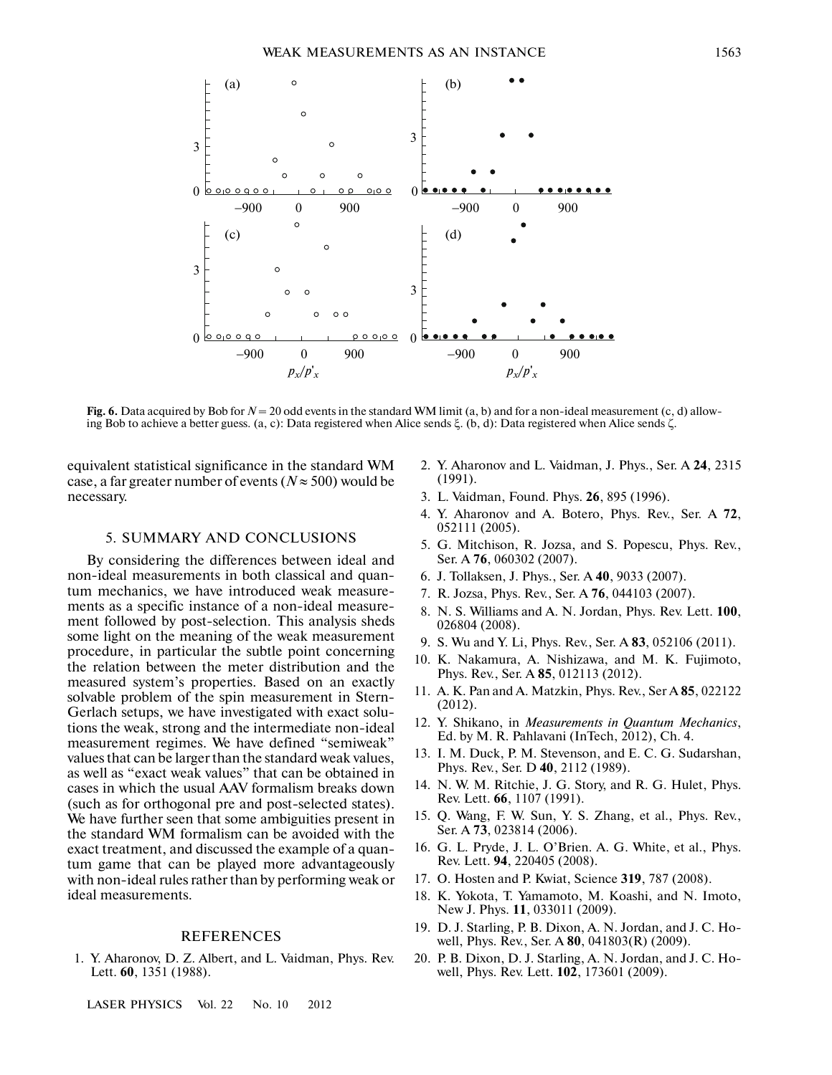

**Fig. 6.** Data acquired by Bob for  $N = 20$  odd events in the standard WM limit (a, b) and for a non-ideal measurement (c, d) allowing Bob to achieve a better guess. (a, c): Data registered when Alice sends ξ. (b, d): Data registered when Alice sends ζ.

equivalent statistical significance in the standard WM case, a far greater number of events ( $N \approx 500$ ) would be necessary.

#### 5. SUMMARY AND CONCLUSIONS

By considering the differences between ideal and non-ideal measurements in both classical and quan tum mechanics, we have introduced weak measure ments as a specific instance of a non-ideal measure ment followed by post-selection. This analysis sheds some light on the meaning of the weak measurement procedure, in particular the subtle point concerning the relation between the meter distribution and the measured system's properties. Based on an exactly solvable problem of the spin measurement in Stern- Gerlach setups, we have investigated with exact solu tions the weak, strong and the intermediate non-ideal measurement regimes. We have defined "semiweak" values that can be larger than the standard weak values, as well as "exact weak values" that can be obtained in cases in which the usual AAV formalism breaks down (such as for orthogonal pre and post-selected states). We have further seen that some ambiguities present in the standard WM formalism can be avoided with the exact treatment, and discussed the example of a quan tum game that can be played more advantageously with non-ideal rules rather than by performing weak or ideal measurements.

#### REFERENCES

1. Y. Aharonov, D. Z. Albert, and L. Vaidman, Phys. Rev. Lett. **60**, 1351 (1988).

LASER PHYSICS Vol. 22 No. 10 2012

- 2. Y. Aharonov and L. Vaidman, J. Phys., Ser. A **24**, 2315 (1991).
- 3. L. Vaidman, Found. Phys. **26**, 895 (1996).
- 4. Y. Aharonov and A. Botero, Phys. Rev., Ser. A **72**, 052111 (2005).
- 5. G. Mitchison, R. Jozsa, and S. Popescu, Phys. Rev., Ser. A **76**, 060302 (2007).
- 6. J. Tollaksen, J. Phys., Ser. A **40**, 9033 (2007).
- 7. R. Jozsa, Phys. Rev., Ser. A **76**, 044103 (2007).
- 8. N. S. Williams and A. N. Jordan, Phys. Rev. Lett. **100**, 026804 (2008).
- 9. S. Wu and Y. Li, Phys. Rev., Ser. A **83**, 052106 (2011).
- 10. K. Nakamura, A. Nishizawa, and M. K. Fujimoto, Phys. Rev., Ser. A **85**, 012113 (2012).
- 11. A. K. Pan and A. Matzkin, Phys. Rev., Ser A **85**, 022122 (2012).
- 12. Y. Shikano, in *Measurements in Quantum Mechanics*, Ed. by M. R. Pahlavani (InTech, 2012), Ch. 4.
- 13. I. M. Duck, P. M. Stevenson, and E. C. G. Sudarshan, Phys. Rev., Ser. D **40**, 2112 (1989).
- 14. N. W. M. Ritchie, J. G. Story, and R. G. Hulet, Phys. Rev. Lett. **66**, 1107 (1991).
- 15. Q. Wang, F. W. Sun, Y. S. Zhang, et al., Phys. Rev., Ser. A **73**, 023814 (2006).
- 16. G. L. Pryde, J. L. O'Brien. A. G. White, et al., Phys. Rev. Lett. **94**, 220405 (2008).
- 17. O. Hosten and P. Kwiat, Science **319**, 787 (2008).
- 18. K. Yokota, T. Yamamoto, M. Koashi, and N. Imoto, New J. Phys. **11**, 033011 (2009).
- 19. D. J. Starling, P. B. Dixon, A. N. Jordan, and J. C. Ho well, Phys. Rev., Ser. A **80**, 041803(R) (2009).
- 20. P. B. Dixon, D. J. Starling, A. N. Jordan, and J. C. Ho well, Phys. Rev. Lett. **102**, 173601 (2009).